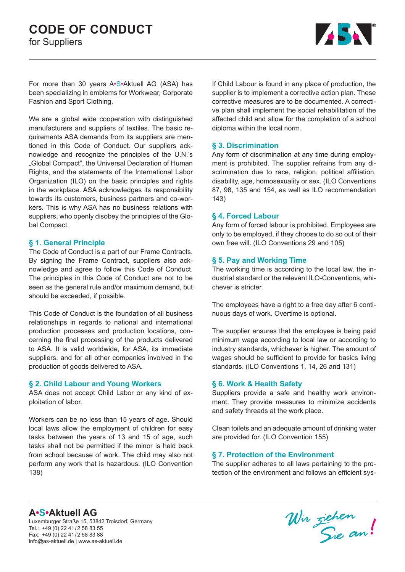

For more than 30 years A•S•Aktuell AG (ASA) has been specializing in emblems for Workwear, Corporate Fashion and Sport Clothing.

We are a global wide cooperation with distinguished manufacturers and suppliers of textiles. The basic requirements ASA demands from its suppliers are mentioned in this Code of Conduct. Our suppliers acknowledge and recognize the principles of the U.N.'s "Global Compact", the Universal Declaration of Human Rights, and the statements of the International Labor Organization (ILO) on the basic principles and rights in the workplace. ASA acknowledges its responsibility towards its customers, business partners and co-workers. This is why ASA has no business relations with suppliers, who openly disobey the principles of the Global Compact.

### **§ 1. General Principle**

The Code of Conduct is a part of our Frame Contracts. By signing the Frame Contract, suppliers also acknowledge and agree to follow this Code of Conduct. The principles in this Code of Conduct are not to be seen as the general rule and/or maximum demand, but should be exceeded, if possible.

This Code of Conduct is the foundation of all business relationships in regards to national and international production processes and production locations, concerning the final processing of the products delivered to ASA. It is valid worldwide, for ASA, its immediate suppliers, and for all other companies involved in the production of goods delivered to ASA.

# **§ 2. Child Labour and Young Workers**

ASA does not accept Child Labor or any kind of exploitation of labor.

Workers can be no less than 15 years of age. Should local laws allow the employment of children for easy tasks between the years of 13 and 15 of age, such tasks shall not be permitted if the minor is held back from school because of work. The child may also not perform any work that is hazardous. (ILO Convention 138)

If Child Labour is found in any place of production, the supplier is to implement a corrective action plan. These corrective measures are to be documented. A corrective plan shall implement the social rehabilitation of the affected child and allow for the completion of a school diploma within the local norm.

# **§ 3. Discrimination**

Any form of discrimination at any time during employment is prohibited. The supplier refrains from any discrimination due to race, religion, political affiliation, disability, age, homosexuality or sex. (ILO Conventions 87, 98, 135 and 154, as well as ILO recommendation 143)

# **§ 4. Forced Labour**

Any form of forced labour is prohibited. Employees are only to be employed, if they choose to do so out of their own free will. (ILO Conventions 29 and 105)

### **§ 5. Pay and Working Time**

The working time is according to the local law, the industrial standard or the relevant ILO-Conventions, whichever is stricter.

The employees have a right to a free day after 6 continuous days of work. Overtime is optional.

The supplier ensures that the employee is being paid minimum wage according to local law or according to industry standards, whichever is higher. The amount of wages should be sufficient to provide for basics living standards. (ILO Conventions 1, 14, 26 and 131)

# **§ 6. Work & Health Safety**

Suppliers provide a safe and healthy work environment. They provide measures to minimize accidents and safety threads at the work place.

Clean toilets and an adequate amount of drinking water are provided for. (ILO Convention 155)

# **§ 7. Protection of the Environment**

The supplier adheres to all laws pertaining to the protection of the environment and follows an efficient sys-

# **A•S•Aktuell AG**

Luxemburger Straße 15, 53842 Troisdorf, Germany Tel.: +49 (0) 22 41/2 58 83 55 Fax: +49 (0) 22 41/2 58 83 88 info@as-aktuell.de | www.as-aktuell.de

Wir ziehen!<br>Sie an!